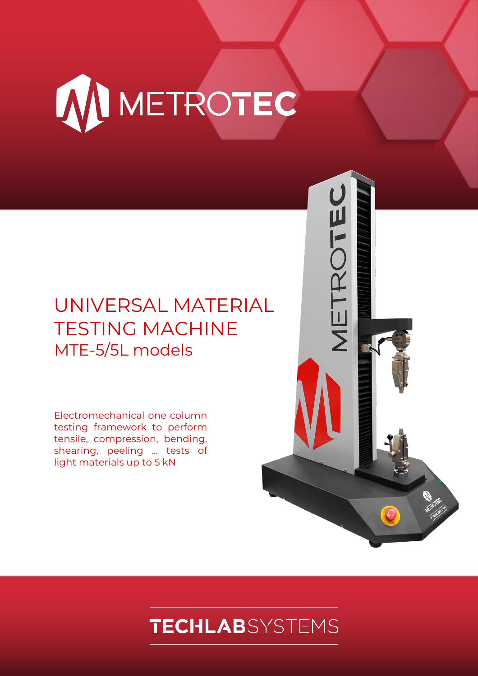

## UNIVERSAL MATERIAL TESTING MACHINE MTE-5/5L models

Electromechanical one column testing framework to perform tensile, compression, bending, shearing, peeling ... tests of light materials up to 5 kN

# **TECHLAB**SYSTEMS

METROTEC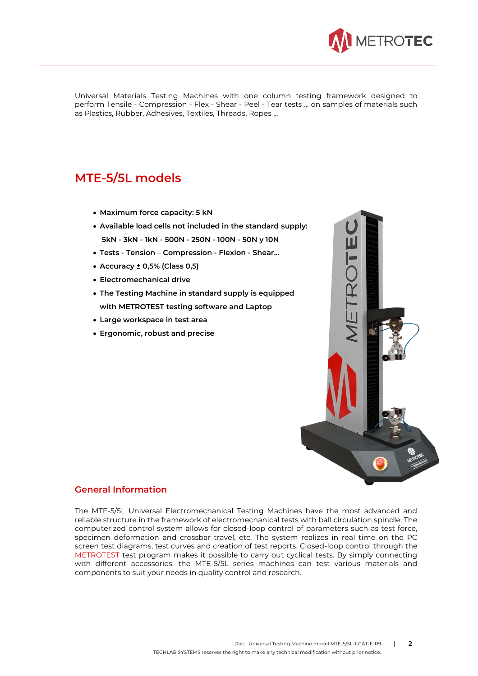

Universal Materials Testing Machines with one column testing framework designed to perform Tensile - Compression - Flex - Shear - Peel - Tear tests ... on samples of materials such as Plastics, Rubber, Adhesives, Textiles, Threads, Ropes ...

### **MTE-5/5L models**

- **Maximum force capacity: 5 kN**
- **Available load cells not included in the standard supply: 5kN - 3kN - 1kN - 500N - 250N - 100N - 50N y 10N**
- **Tests - Tension – Compression - Flexion - Shear...**
- **Accuracy ± 0,5% (Class 0,5)**
- **Electromechanical drive**
- **The Testing Machine in standard supply is equipped with METROTEST testing software and Laptop**
- **Large workspace in test area**
- **Ergonomic, robust and precise**



#### **General Information**

The MTE-5/5L Universal Electromechanical Testing Machines have the most advanced and reliable structure in the framework of electromechanical tests with ball circulation spindle. The computerized control system allows for closed-loop control of parameters such as test force, specimen deformation and crossbar travel, etc. The system realizes in real time on the PC screen test diagrams, test curves and creation of test reports. Closed-loop control through the METROTEST test program makes it possible to carry out cyclical tests. By simply connecting with different accessories, the MTE-5/5L series machines can test various materials and components to suit your needs in quality control and research.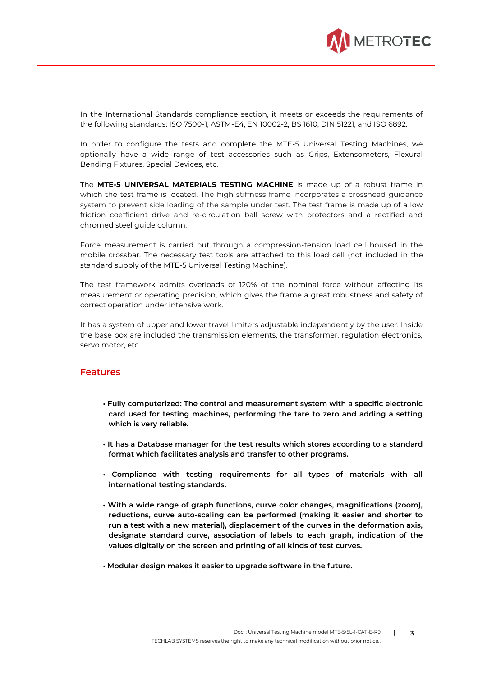

In the International Standards compliance section, it meets or exceeds the requirements of the following standards: ISO 7500-1, ASTM-E4, EN 10002-2, BS 1610, DIN 51221, and ISO 6892.

In order to configure the tests and complete the MTE-5 Universal Testing Machines, we optionally have a wide range of test accessories such as Grips, Extensometers, Flexural Bending Fixtures, Special Devices, etc.

The **MTE-5 UNIVERSAL MATERIALS TESTING MACHINE** is made up of a robust frame in which the test frame is located. The high stiffness frame incorporates a crosshead guidance system to prevent side loading of the sample under test. The test frame is made up of a low friction coefficient drive and re-circulation ball screw with protectors and a rectified and chromed steel guide column.

Force measurement is carried out through a compression-tension load cell housed in the mobile crossbar. The necessary test tools are attached to this load cell (not included in the standard supply of the MTE-5 Universal Testing Machine).

The test framework admits overloads of 120% of the nominal force without affecting its measurement or operating precision, which gives the frame a great robustness and safety of correct operation under intensive work.

It has a system of upper and lower travel limiters adjustable independently by the user. Inside the base box are included the transmission elements, the transformer, regulation electronics, servo motor, etc.

#### **Features**

- **Fully computerized: The control and measurement system with a specific electronic card used for testing machines, performing the tare to zero and adding a setting which is very reliable.**
- **It has a Database manager for the test results which stores according to a standard format which facilitates analysis and transfer to other programs.**
- **Compliance with testing requirements for all types of materials with all international testing standards.**
- **With a wide range of graph functions, curve color changes, magnifications (zoom), reductions, curve auto-scaling can be performed (making it easier and shorter to run a test with a new material), displacement of the curves in the deformation axis, designate standard curve, association of labels to each graph, indication of the values digitally on the screen and printing of all kinds of test curves.**
- **Modular design makes it easier to upgrade software in the future.**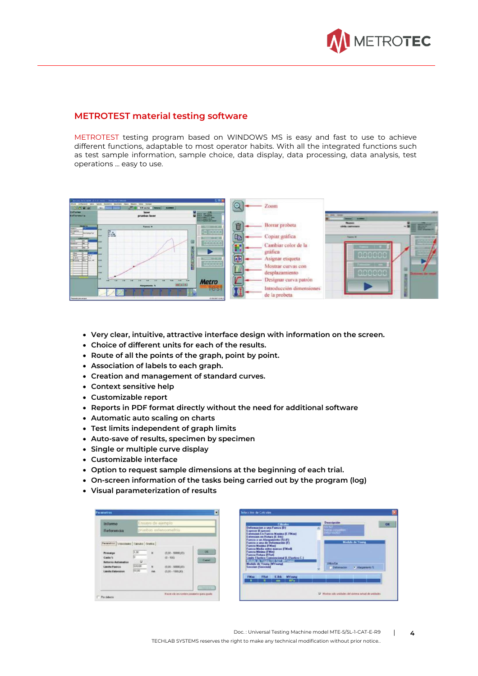

#### **METROTEST material testing software**

METROTEST testing program based on WINDOWS MS is easy and fast to use to achieve different functions, adaptable to most operator habits. With all the integrated functions such as test sample information, sample choice, data display, data processing, data analysis, test operations ... easy to use.

|                                                                                   | Marketing DATA FLAMM, 20, 8, 42, 10251  TRACCKIN STANDARD    | 508                                           |                                                   |                      |      |
|-----------------------------------------------------------------------------------|--------------------------------------------------------------|-----------------------------------------------|---------------------------------------------------|----------------------|------|
| Criticians                                                                        | <b>Shap Classical</b>                                        | le.                                           | Zoom                                              |                      |      |
| $[0]$ $[0]$ $[0]$ $[0]$<br><b>Informe</b><br>Referencia                           | 8.00 am/ain<br>54<br><b>MAINEE</b><br>laser<br>pruebas laser | <b>Filled</b>                                 | <b>CONTRACTOR</b>                                 | <b>THE TIME</b><br>_ |      |
| -----<br><b>A determine</b><br>Steats:                                            | Fuerza N                                                     | 命<br><b>NELL' THE READS</b><br>$-0.10000$     | Borrar probeta                                    | <b>CARTICLES</b>     | TE S |
| <b>MACSANDRUM</b><br>Ŧ                                                            | 臨<br><b>MAG</b>                                              | EB<br>宮尻二百<br>accoco                          | Copiar gráfica                                    |                      |      |
| <b>SARLIE</b><br>$-$<br><b>MACCINA</b><br><b><i>MARINATOR</i></b><br><b>PM at</b> | tem.<br>--                                                   |                                               | Cambiar color de la<br>gráfica                    |                      |      |
| 19.44<br>$n = 1$<br>4.14<br><b>Sec.</b><br><b>Writing</b><br>112.44               | ALM .<br>H<br>$\overline{a}$                                 | Œ<br>京都道路<br>$rac{1}{2000000}$<br><b>Carl</b> | Asignar etiqueta<br>Mostrar curvas con            |                      |      |
|                                                                                   | $\overline{\phantom{a}}$                                     |                                               | desplazamiento                                    | apoca                | 崖    |
|                                                                                   | m<br>$-$<br>$-14181$<br>Alargamients %                       | <b>Metro</b><br><b>iesi</b>                   | Designar curva patron<br>Introducción dimensiones |                      |      |
| Permain passwores                                                                 | 띌                                                            | <b><i>BIRMARY 10 ALD</i></b>                  | de la probeta                                     |                      | B    |

- **Very clear, intuitive, attractive interface design with information on the screen.**
- **Choice of different units for each of the results.**
- **Route of all the points of the graph, point by point.**
- **Association of labels to each graph.**
- **Creation and management of standard curves.**
- **Context sensitive help**
- **Customizable report**
- **Reports in PDF format directly without the need for additional software**
- **Automatic auto scaling on charts**
- **Test limits independent of graph limits**
- **Auto-save of results, specimen by specimen**
- **Single or multiple curve display**
- **Customizable interface**
- **Option to request sample dimensions at the beginning of each trial.**
- **On-screen information of the tasks being carried out by the program (log)**
- **Visual parameterization of results**

| <b>Informe</b>                                                                                                                                 | Ensayo de ejemplo              |                       |                                                                                 |                                      |  |  |
|------------------------------------------------------------------------------------------------------------------------------------------------|--------------------------------|-----------------------|---------------------------------------------------------------------------------|--------------------------------------|--|--|
| Referencia                                                                                                                                     |                                | pruebas exfensometria |                                                                                 |                                      |  |  |
| Parametros Velocidades Calculto Cratica<br>Procarga<br>Caida %<br><b>Betorns Automatico</b><br><b>Limite Fuerza</b><br><b>Limite Estension</b> | (1,00)<br>5<br>600.00<br>00,00 | ŵ<br>16<br><b>Has</b> | $(0.02 - 50030.001)$<br>$(0 - 100)$<br>(9.00 - 50030,00)<br>$(0.00 - 1000.001)$ | <b>DK</b><br>Cussi<br><b>Darwick</b> |  |  |

|             |                                                                                                                                                                                                                                                                                                                                                                                            | <b>Cálculos</b>   |                                                                                      | <b>Descripción</b>                                                                                 |                        |                  | ON |
|-------------|--------------------------------------------------------------------------------------------------------------------------------------------------------------------------------------------------------------------------------------------------------------------------------------------------------------------------------------------------------------------------------------------|-------------------|--------------------------------------------------------------------------------------|----------------------------------------------------------------------------------------------------|------------------------|------------------|----|
|             | Deformacion a una Fuerza (D)<br>Expesor (Expense)<br>Estension en Flotura (E.Brk)<br>Fuecza a un Alarganiento (2) (F<br>Fuecza a una de Deformación B<br><b>Fuerza Maxima (FMax)</b><br><b>Fuecza Modia entre marcas (Fidod)</b><br><b>Fuerza Minima (FMin)</b><br><b>Fuecca Rotura (FRot)</b><br>Medule de Young ISO 527 (MYsung)<br>Module de Young (MYoung)<br><b>Seccion (Seccion)</b> |                   | Extension En Fuerza Masina (E.FMas)<br>Linite Elaction Convencional (L. Elastico C.) | ISD 522<br>Norver (Ancientales<br><b>ENNANT BURSET :</b><br><b>Utiliza Eje</b><br><b>Defension</b> | <b>Module de Young</b> | - Alacauciants 3 |    |
| <b>FMas</b> | Fflot<br>м                                                                                                                                                                                                                                                                                                                                                                                 | E.Bdc<br>$\cdots$ | <b>MY</b> oung<br>MP-                                                                |                                                                                                    |                        |                  |    |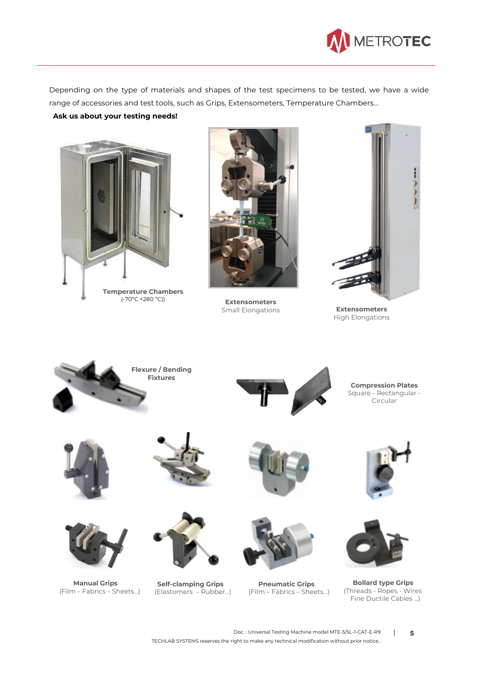

Depending on the type of materials and shapes of the test specimens to be tested, we have a wide range of accessories and test tools, such as Grips, Extensometers, Temperature Chambers...

**Ask us about your testing needs!**



(-70ºC +280 ºC))



**Extensometers** Small Elongations



**Extensometers** High Elongations

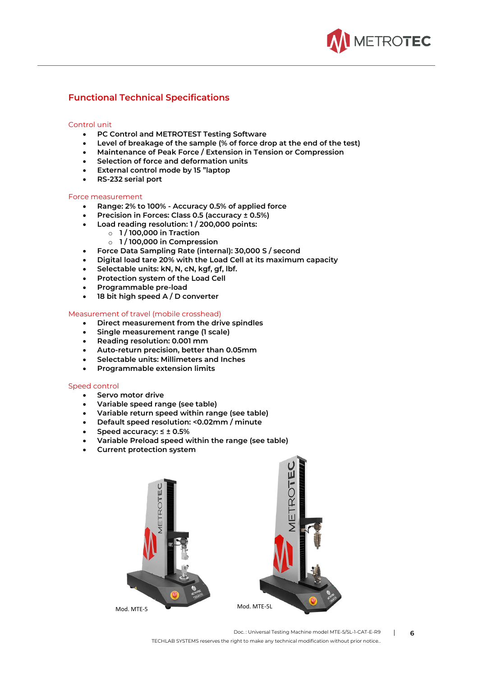

#### **Functional Technical Specifications**

#### Control unit

- **PC Control and METROTEST Testing Software**
- **Level of breakage of the sample (% of force drop at the end of the test)**
- **Maintenance of Peak Force / Extension in Tension or Compression**
- **Selection of force and deformation units**
- **External control mode by 15 "laptop**
- **RS-232 serial port**

#### Force measurement

- **Range: 2% to 100% - Accuracy 0.5% of applied force**
- **Precision in Forces: Class 0.5 (accuracy ± 0.5%)**
- **Load reading resolution: 1 / 200,000 points:**
	- o **1 / 100,000 in Traction**
	- o **1 / 100,000 in Compression**
- **Force Data Sampling Rate (internal): 30,000 S / second**
- **Digital load tare 20% with the Load Cell at its maximum capacity**
- **Selectable units: kN, N, cN, kgf, gf, lbf.**
- **Protection system of the Load Cell**
- **Programmable pre-load**
- **18 bit high speed A / D converter**

#### Measurement of travel (mobile crosshead)

- **Direct measurement from the drive spindles**
- **Single measurement range (1 scale)**
- **Reading resolution: 0.001 mm**
- **Auto-return precision, better than 0.05mm**
- **Selectable units: Millimeters and Inches**
- **Programmable extension limits**

#### Speed control

- **Servo motor drive**
- **Variable speed range (see table)**
- **Variable return speed within range (see table)**
- **Default speed resolution: <0.02mm / minute**
- **Speed accuracy: ≤ ± 0.5%**
- **Variable Preload speed within the range (see table)**
- **Current protection system**



Doc. : Universal Testing Machine model MTE-5/5L-1-CAT-E-R9 | **6**

TECHLAB SYSTEMS reserves the right to make any technical modification without prior notice..